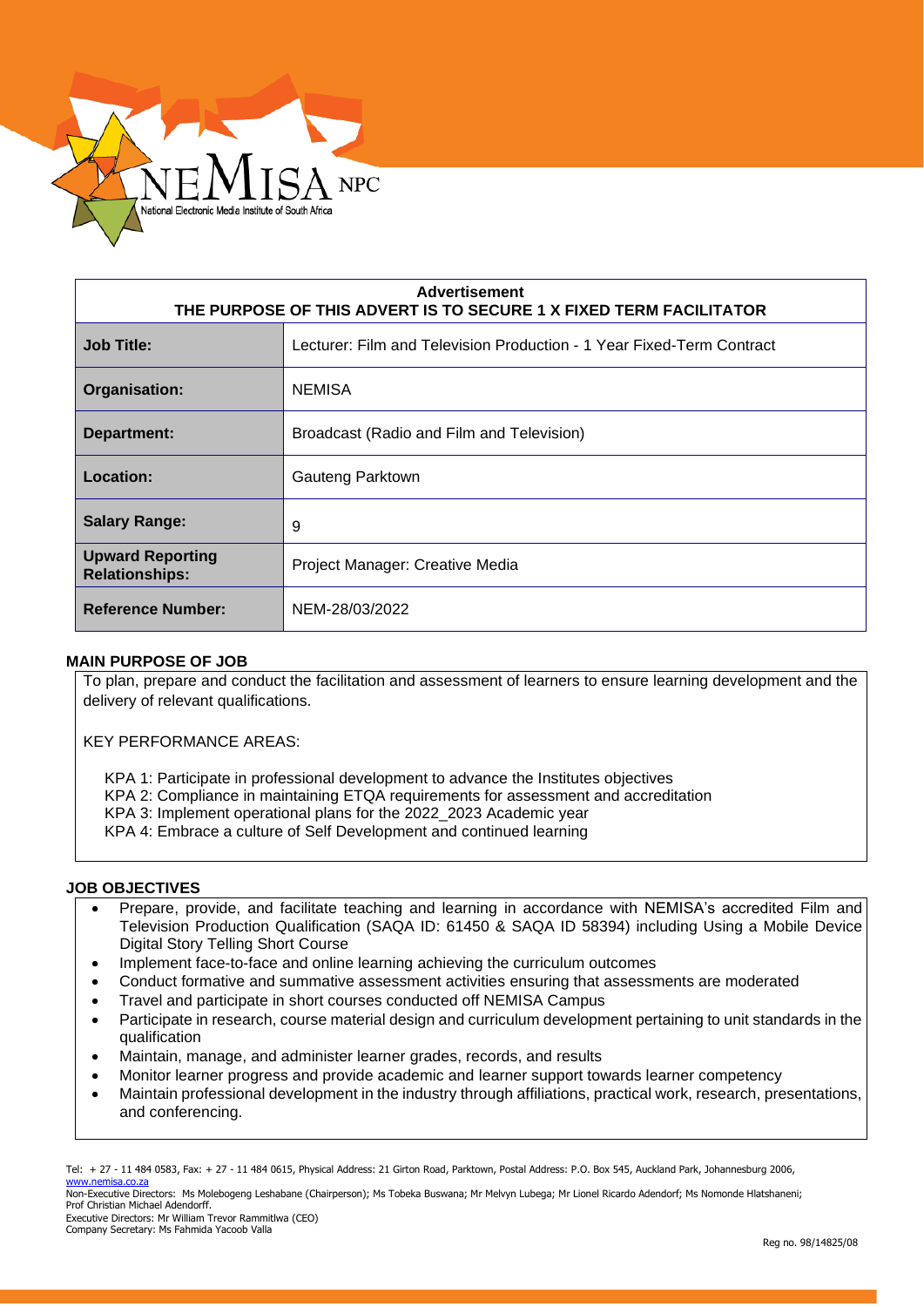

| <b>Advertisement</b><br>THE PURPOSE OF THIS ADVERT IS TO SECURE 1 X FIXED TERM FACILITATOR |                                                                       |  |
|--------------------------------------------------------------------------------------------|-----------------------------------------------------------------------|--|
| <b>Job Title:</b>                                                                          | Lecturer: Film and Television Production - 1 Year Fixed-Term Contract |  |
| Organisation:                                                                              | <b>NEMISA</b>                                                         |  |
| Department:                                                                                | Broadcast (Radio and Film and Television)                             |  |
| Location:                                                                                  | Gauteng Parktown                                                      |  |
| <b>Salary Range:</b>                                                                       | 9                                                                     |  |
| <b>Upward Reporting</b><br><b>Relationships:</b>                                           | Project Manager: Creative Media                                       |  |
| <b>Reference Number:</b>                                                                   | NEM-28/03/2022                                                        |  |

### **MAIN PURPOSE OF JOB**

To plan, prepare and conduct the facilitation and assessment of learners to ensure learning development and the delivery of relevant qualifications.

KEY PERFORMANCE AREAS:

KPA 1: Participate in professional development to advance the Institutes objectives

- KPA 2: Compliance in maintaining ETQA requirements for assessment and accreditation
- KPA 3: Implement operational plans for the 2022\_2023 Academic year
- KPA 4: Embrace a culture of Self Development and continued learning

#### **JOB OBJECTIVES**

- Prepare, provide, and facilitate teaching and learning in accordance with NEMISA's accredited Film and Television Production Qualification (SAQA ID: 61450 & SAQA ID 58394) including Using a Mobile Device Digital Story Telling Short Course
- Implement face-to-face and online learning achieving the curriculum outcomes
- Conduct formative and summative assessment activities ensuring that assessments are moderated
- Travel and participate in short courses conducted off NEMISA Campus
- Participate in research, course material design and curriculum development pertaining to unit standards in the qualification
- Maintain, manage, and administer learner grades, records, and results
- Monitor learner progress and provide academic and learner support towards learner competency
- Maintain professional development in the industry through affiliations, practical work, research, presentations, and conferencing.

Tel: + 27 - 11 484 0583, Fax: + 27 - 11 484 0615, Physical Address: 21 Girton Road, Parktown, Postal Address: P.O. Box 545, Auckland Park, Johannesburg 2006, [www.nemisa.co.za](http://www.nemisa.co.za/)

Non-Executive Directors: Ms Molebogeng Leshabane (Chairperson); Ms Tobeka Buswana; Mr Melvyn Lubega; Mr Lionel Ricardo Adendorf; Ms Nomonde Hlatshaneni; Prof Christian Michael Adendorff.

Executive Directors: Mr William Trevor Rammitlwa (CEO) Company Secretary: Ms Fahmida Yacoob Valla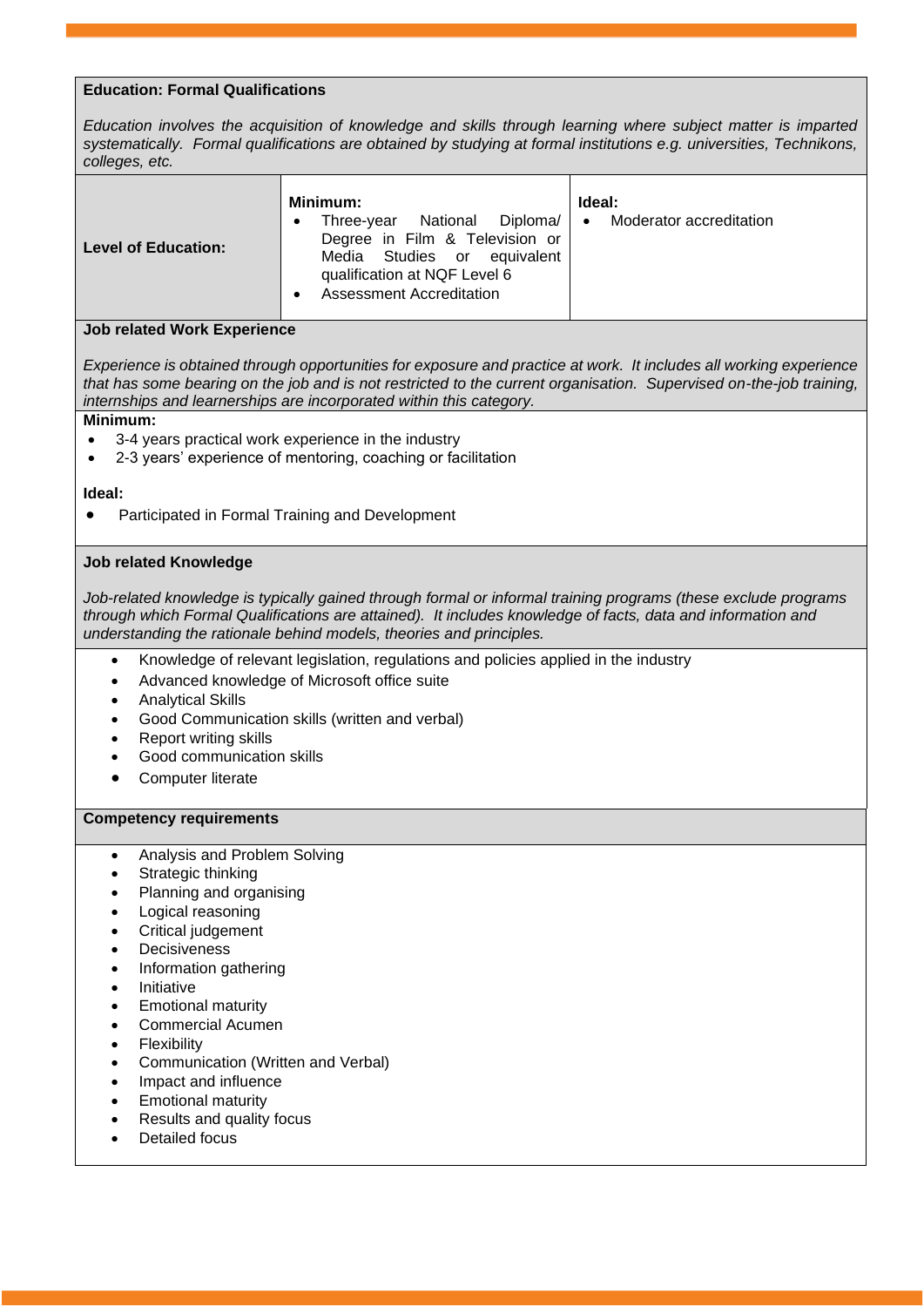# **Education: Formal Qualifications**

*Education involves the acquisition of knowledge and skills through learning where subject matter is imparted systematically. Formal qualifications are obtained by studying at formal institutions e.g. universities, Technikons, colleges, etc.*

| <b>Level of Education:</b> | Minimum:<br>National Diploma/<br>Three-vear<br>Degree in Film & Television or<br>Media Studies or equivalent<br>qualification at NQF Level 6<br><b>Assessment Accreditation</b> | Ideal:<br>Moderator accreditation<br>$\bullet$ |
|----------------------------|---------------------------------------------------------------------------------------------------------------------------------------------------------------------------------|------------------------------------------------|
|----------------------------|---------------------------------------------------------------------------------------------------------------------------------------------------------------------------------|------------------------------------------------|

# **Job related Work Experience**

*Experience is obtained through opportunities for exposure and practice at work. It includes all working experience that has some bearing on the job and is not restricted to the current organisation. Supervised on-the-job training, internships and learnerships are incorporated within this category.*

# **Minimum:**

- 3-4 years practical work experience in the industry
- 2-3 years' experience of mentoring, coaching or facilitation

### **Ideal:**

• Participated in Formal Training and Development

# **Job related Knowledge**

*Job-related knowledge is typically gained through formal or informal training programs (these exclude programs through which Formal Qualifications are attained). It includes knowledge of facts, data and information and understanding the rationale behind models, theories and principles.*

- Knowledge of relevant legislation, regulations and policies applied in the industry
- Advanced knowledge of Microsoft office suite
- Analytical Skills
- Good Communication skills (written and verbal)
- **Report writing skills**
- Good communication skills
- Computer literate

# **Competency requirements**

- Analysis and Problem Solving
- Strategic thinking
- Planning and organising
- Logical reasoning
- Critical judgement
- **Decisiveness**
- Information gathering
- Initiative
- Emotional maturity
- Commercial Acumen
- Flexibility
- Communication (Written and Verbal)
- Impact and influence
- Emotional maturity
- Results and quality focus
- Detailed focus